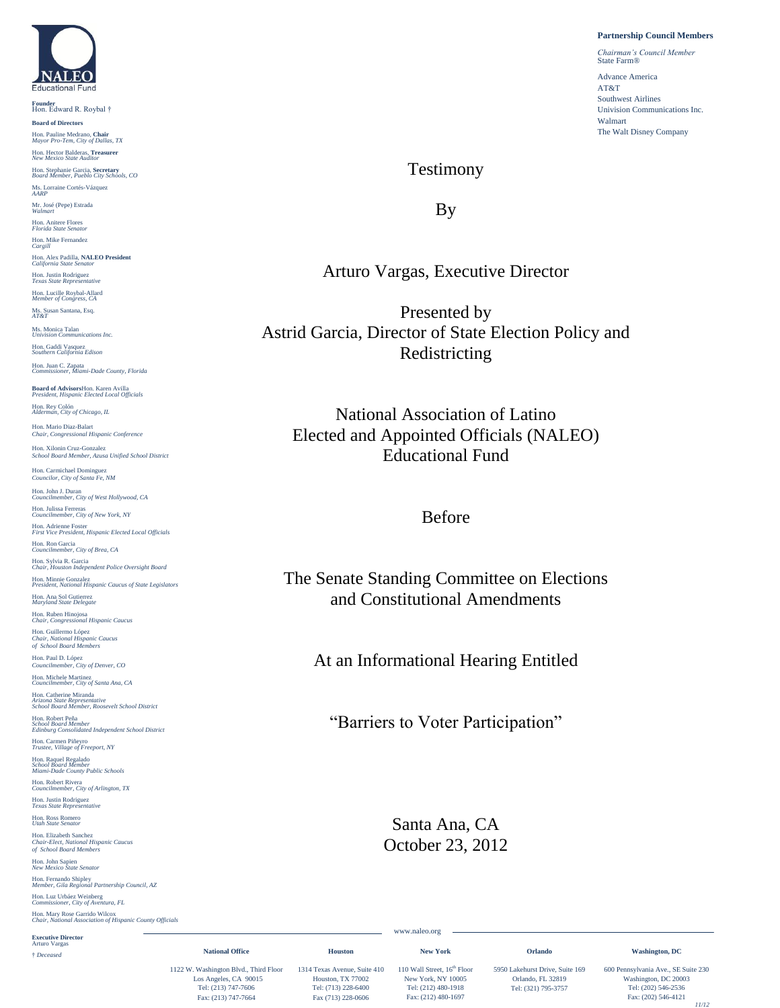

**Founder** Hon. Edward R. Roybal † **Board of Directors** Hon. Pauline Medrano, **Chair** *Mayor Pro-Tem, City of Dallas, TX* Hon. Hector Balderas, **Treasurer** *New Mexico State Auditor* Hon. Stephanie Garcia, **Secretary** *Board Member, Pueblo City Schools, CO* Ms. Lorraine Cortés-Vázquez *AARP* Mr. José (Pepe) Estrada *Walmart* Hon. Anitere Flores *Florida State Senator* Hon. Mike Fernandez *Cargill* Hon. Alex Padilla, **NALEO President** *California State Senator* Hon. Justin Rodriguez *Texas State Representative* Hon. Lucille Roybal-Allard *Member of Congress, CA* Ms. Susan Santana, Esq. *AT&T* Ms. Monica Talan *Univision Communications Inc.* Hon. Gaddi Vasquez *Southern California Edison* Hon. Juan C. Zapata *Commissioner, Miami-Dade County, Florida* **Board of Advisors**Hon. Karen Avilla *President, Hispanic Elected Local Officials* Hon. Rey Colón *Alderman, City of Chicago, IL* Hon. Mario Diaz-Balart *Chair, Congressional Hispanic Conference* Hon. Xilonin Cruz-Gonzalez *School Board Member, Azusa Unified School District* Hon. Carmichael Dominguez *Councilor, City of Santa Fe, NM* Hon. John J. Duran *Councilmember, City of West Hollywood, CA* Hon. Julissa Ferreras *Councilmember, City of New York, NY* Hon. Adrienne Foster *First Vice President, Hispanic Elected Local Officials* Hon. Ron Garcia *Councilmember, City of Brea, CA* Hon. Sylvia R. Garcia *Chair, Houston Independent Police Oversight Board* Hon. Minnie Gonzalez *President, National Hispanic Caucus of State Legislators* Hon. Ana Sol Gutierrez *Maryland State Delegate* Hon. Ruben Hinojosa *Chair, Congressional Hispanic Caucus* Hon. Guillermo López *Chair, National Hispanic Caucus of School Board Members*  Hon. Paul D. López *Councilmember, City of Denver, CO* Hon. Michele Martinez *Councilmember, City of Santa Ana, CA* Hon. Catherine Miranda *Arizona State Representative School Board Member, Roosevelt School District* Hon. Robert Peña *School Board Member Edinburg Consolidated Independent School District* Hon. Carmen Piñeyro *Trustee, Village of Freeport, NY* Hon. Raquel Regalado *School Board Member Miami-Dade County Public Schools* Hon. Robert Rivera *Councilmember, City of Arlington, TX* Hon. Justin Rodriguez *Texas State Representative* Hon. Ross Romero *Utah State Senator* Hon. Elizabeth Sanchez *Chair-Elect, National Hispanic Caucus of School Board Members*  Hon. John Sapien *New Mexico State Senator* Hon. Fernando Shipley *Member, Gila Regional Partnership Council, AZ* Hon. Luz Urbáez Weinberg *Commissioner, City of Aventura, FL* Hon. Mary Rose Garrido Wilcox *Chair, National Association of Hispanic County Officials* **Executive Director** Arturo Vargas

† *Deceased*

#### **Partnership Council Members**

*Chairman's Council Member* State Farm<sup>®</sup> Advance America AT&T Southwest Airlines Univision Communications Inc. Walmart The Walt Disney Company

### Testimony

By

### Arturo Vargas, Executive Director

Presented by Astrid Garcia, Director of State Election Policy and Redistricting

National Association of Latino Elected and Appointed Officials (NALEO) Educational Fund

### Before

The Senate Standing Committee on Elections and Constitutional Amendments

At an Informational Hearing Entitled

"Barriers to Voter Participation"

Santa Ana, CA October 23, 2012

www.naleo.org

**New York** 

 $\sim$ 

**Orlando**

**Washington, DC**

Los Angeles, CA 90015 Tel: (213) 747-7606 Fax: (213) 747-7664

**National Office**

Houston, TX 77002 New York, NY 10005 Tel: (713) 228-6400 Fax (713) 228-0606

**Houston**

1122 W. Washington Blvd., Third Floor 1314 Texas Avenue, Suite 410 110 Wall Street, 16<sup>th</sup> Floor Tel: (212) 480-1918 Fax: (212) 480-1697

5950 Lakehurst Drive, Suite 169 Orlando, FL 32819 Tel: (321) 795-3757

600 Pennsylvania Ave., SE Suite 230 Washington, DC 20003 Tel: (202) 546-2536 Fax: (202) 546-4121 *11/12*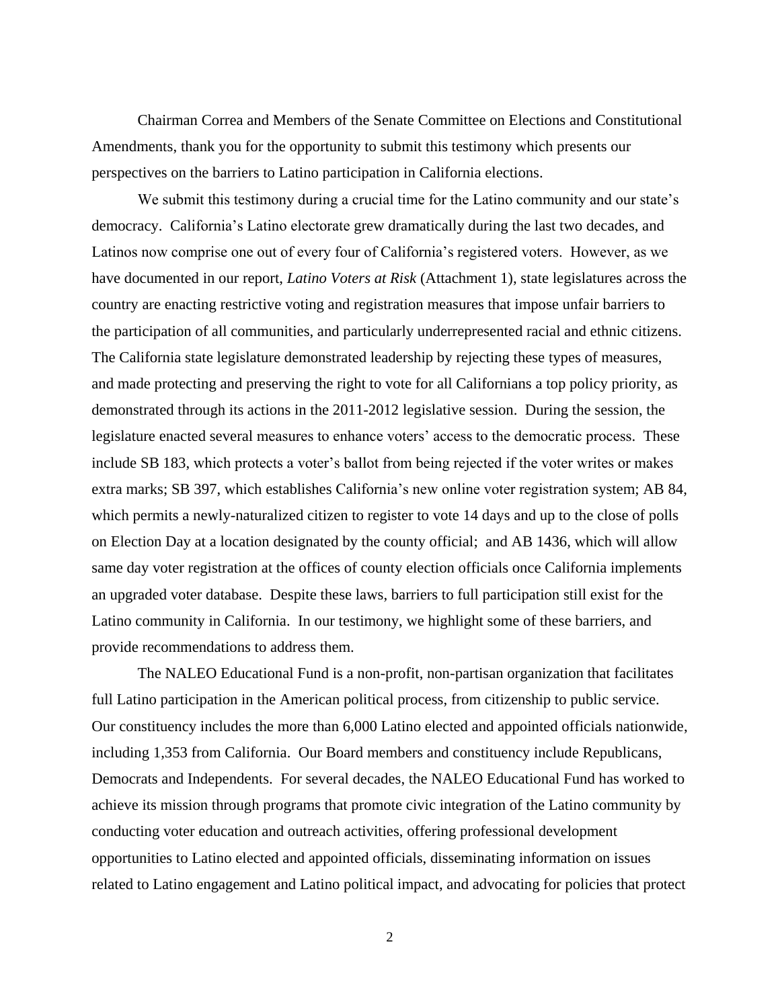Chairman Correa and Members of the Senate Committee on Elections and Constitutional Amendments, thank you for the opportunity to submit this testimony which presents our perspectives on the barriers to Latino participation in California elections.

We submit this testimony during a crucial time for the Latino community and our state's democracy. California's Latino electorate grew dramatically during the last two decades, and Latinos now comprise one out of every four of California's registered voters. However, as we have documented in our report, *Latino Voters at Risk* (Attachment 1), state legislatures across the country are enacting restrictive voting and registration measures that impose unfair barriers to the participation of all communities, and particularly underrepresented racial and ethnic citizens. The California state legislature demonstrated leadership by rejecting these types of measures, and made protecting and preserving the right to vote for all Californians a top policy priority, as demonstrated through its actions in the 2011-2012 legislative session. During the session, the legislature enacted several measures to enhance voters' access to the democratic process. These include SB 183, which protects a voter's ballot from being rejected if the voter writes or makes extra marks; SB 397, which establishes California's new online voter registration system; AB 84, which permits a newly-naturalized citizen to register to vote 14 days and up to the close of polls on Election Day at a location designated by the county official; and AB 1436, which will allow same day voter registration at the offices of county election officials once California implements an upgraded voter database. Despite these laws, barriers to full participation still exist for the Latino community in California. In our testimony, we highlight some of these barriers, and provide recommendations to address them.

The NALEO Educational Fund is a non-profit, non-partisan organization that facilitates full Latino participation in the American political process, from citizenship to public service. Our constituency includes the more than 6,000 Latino elected and appointed officials nationwide, including 1,353 from California. Our Board members and constituency include Republicans, Democrats and Independents. For several decades, the NALEO Educational Fund has worked to achieve its mission through programs that promote civic integration of the Latino community by conducting voter education and outreach activities, offering professional development opportunities to Latino elected and appointed officials, disseminating information on issues related to Latino engagement and Latino political impact, and advocating for policies that protect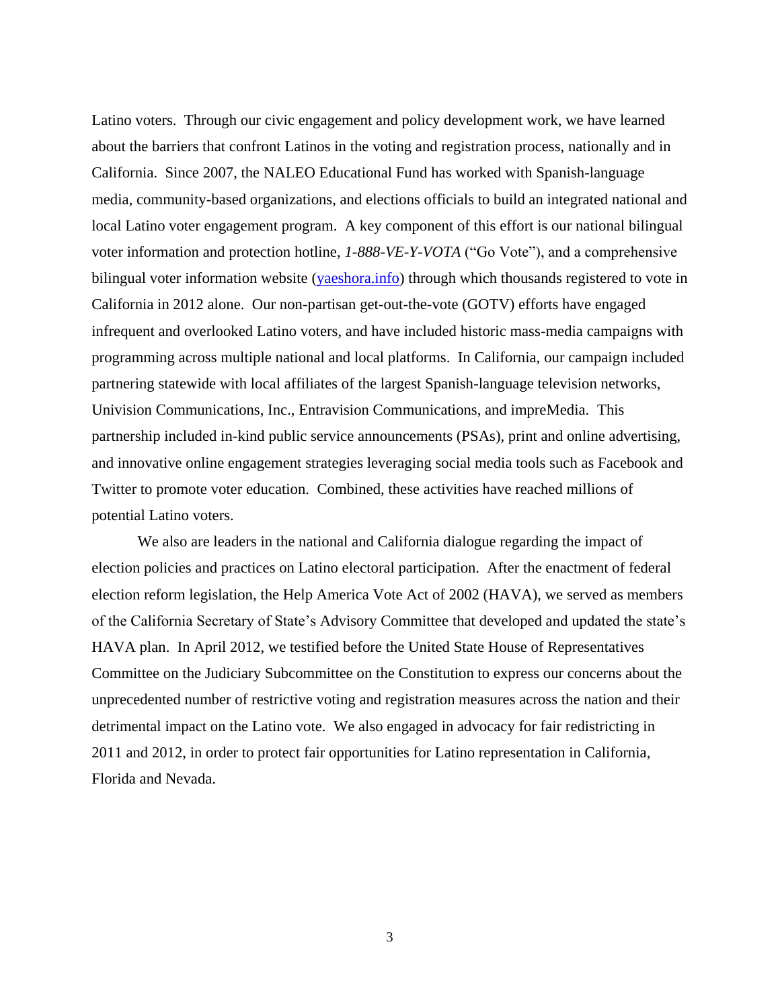Latino voters. Through our civic engagement and policy development work, we have learned about the barriers that confront Latinos in the voting and registration process, nationally and in California. Since 2007, the NALEO Educational Fund has worked with Spanish-language media, community-based organizations, and elections officials to build an integrated national and local Latino voter engagement program. A key component of this effort is our national bilingual voter information and protection hotline, *1-888-VE-Y-VOTA* ("Go Vote"), and a comprehensive bilingual voter information website [\(yaeshora.info\)](http://www.yaeshora.info/english) through which thousands registered to vote in California in 2012 alone. Our non-partisan get-out-the-vote (GOTV) efforts have engaged infrequent and overlooked Latino voters, and have included historic mass-media campaigns with programming across multiple national and local platforms. In California, our campaign included partnering statewide with local affiliates of the largest Spanish-language television networks, Univision Communications, Inc., Entravision Communications, and impreMedia. This partnership included in-kind public service announcements (PSAs), print and online advertising, and innovative online engagement strategies leveraging social media tools such as Facebook and Twitter to promote voter education. Combined, these activities have reached millions of potential Latino voters.

We also are leaders in the national and California dialogue regarding the impact of election policies and practices on Latino electoral participation. After the enactment of federal election reform legislation, the Help America Vote Act of 2002 (HAVA), we served as members of the California Secretary of State's Advisory Committee that developed and updated the state's HAVA plan. In April 2012, we testified before the United State House of Representatives Committee on the Judiciary Subcommittee on the Constitution to express our concerns about the unprecedented number of restrictive voting and registration measures across the nation and their detrimental impact on the Latino vote. We also engaged in advocacy for fair redistricting in 2011 and 2012, in order to protect fair opportunities for Latino representation in California, Florida and Nevada.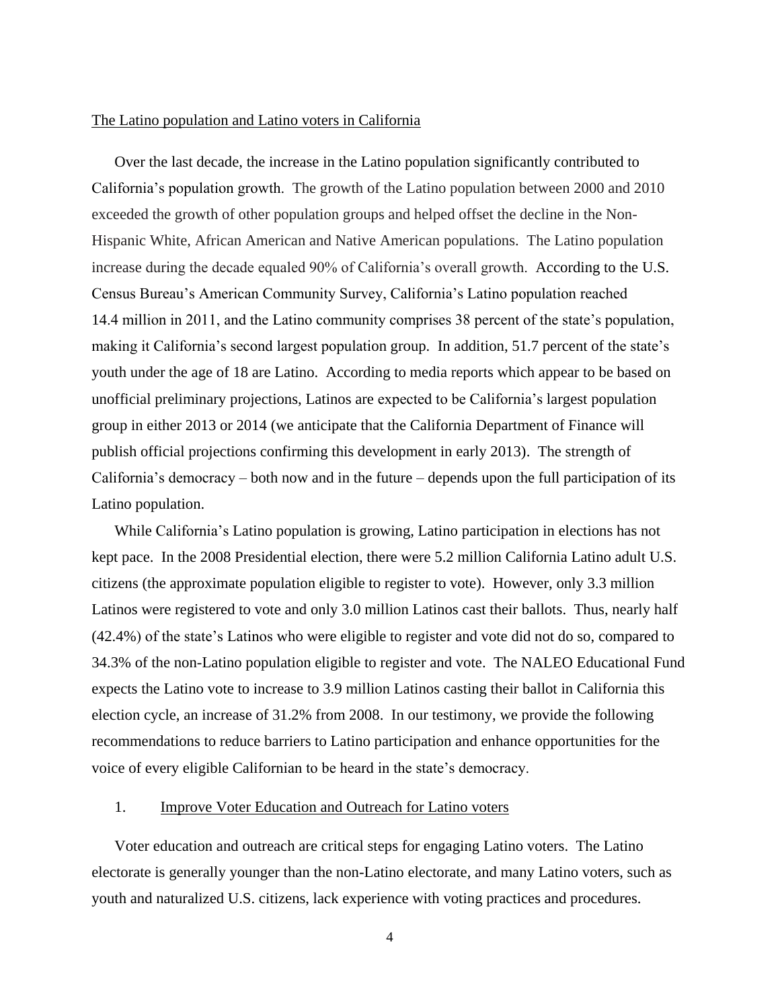### The Latino population and Latino voters in California

Over the last decade, the increase in the Latino population significantly contributed to California's population growth. The growth of the Latino population between 2000 and 2010 exceeded the growth of other population groups and helped offset the decline in the Non-Hispanic White, African American and Native American populations. The Latino population increase during the decade equaled 90% of California's overall growth. According to the U.S. Census Bureau's American Community Survey, California's Latino population reached 14.4 million in 2011, and the Latino community comprises 38 percent of the state's population, making it California's second largest population group. In addition, 51.7 percent of the state's youth under the age of 18 are Latino. According to media reports which appear to be based on unofficial preliminary projections, Latinos are expected to be California's largest population group in either 2013 or 2014 (we anticipate that the California Department of Finance will publish official projections confirming this development in early 2013). The strength of California's democracy – both now and in the future – depends upon the full participation of its Latino population.

While California's Latino population is growing, Latino participation in elections has not kept pace. In the 2008 Presidential election, there were 5.2 million California Latino adult U.S. citizens (the approximate population eligible to register to vote). However, only 3.3 million Latinos were registered to vote and only 3.0 million Latinos cast their ballots. Thus, nearly half (42.4%) of the state's Latinos who were eligible to register and vote did not do so, compared to 34.3% of the non-Latino population eligible to register and vote. The NALEO Educational Fund expects the Latino vote to increase to 3.9 million Latinos casting their ballot in California this election cycle, an increase of 31.2% from 2008. In our testimony, we provide the following recommendations to reduce barriers to Latino participation and enhance opportunities for the voice of every eligible Californian to be heard in the state's democracy.

### 1. Improve Voter Education and Outreach for Latino voters

Voter education and outreach are critical steps for engaging Latino voters. The Latino electorate is generally younger than the non-Latino electorate, and many Latino voters, such as youth and naturalized U.S. citizens, lack experience with voting practices and procedures.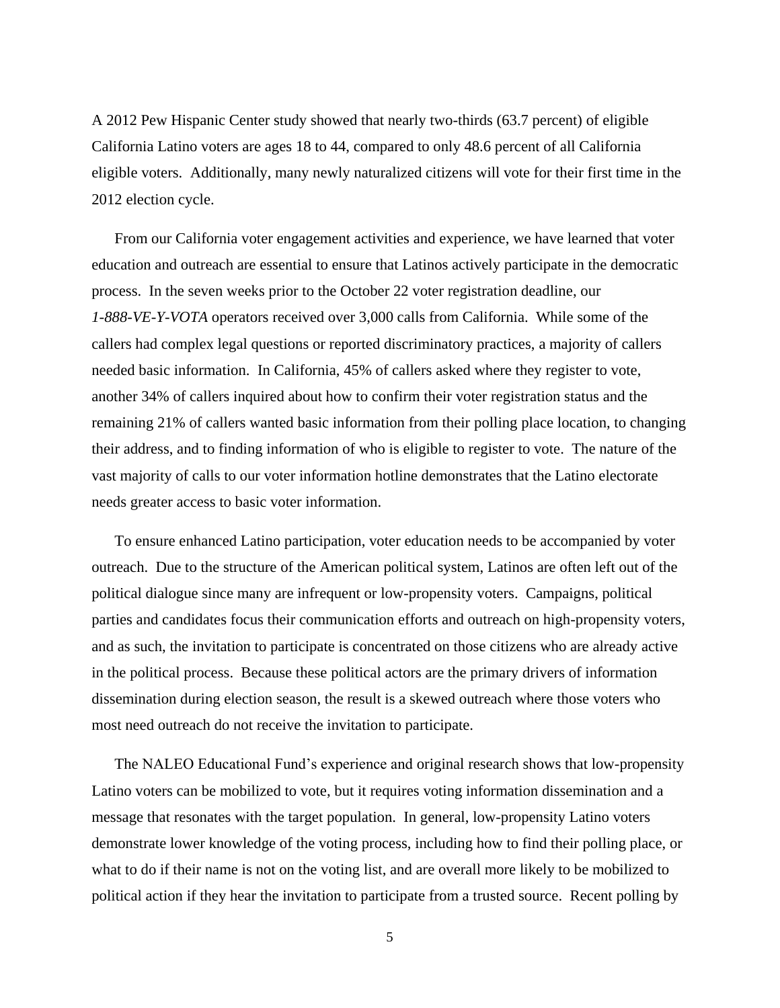A 2012 Pew Hispanic Center study showed that nearly two-thirds (63.7 percent) of eligible California Latino voters are ages 18 to 44, compared to only 48.6 percent of all California eligible voters. Additionally, many newly naturalized citizens will vote for their first time in the 2012 election cycle.

From our California voter engagement activities and experience, we have learned that voter education and outreach are essential to ensure that Latinos actively participate in the democratic process. In the seven weeks prior to the October 22 voter registration deadline, our *1-888-VE-Y-VOTA* operators received over 3,000 calls from California. While some of the callers had complex legal questions or reported discriminatory practices, a majority of callers needed basic information. In California, 45% of callers asked where they register to vote, another 34% of callers inquired about how to confirm their voter registration status and the remaining 21% of callers wanted basic information from their polling place location, to changing their address, and to finding information of who is eligible to register to vote. The nature of the vast majority of calls to our voter information hotline demonstrates that the Latino electorate needs greater access to basic voter information.

To ensure enhanced Latino participation, voter education needs to be accompanied by voter outreach. Due to the structure of the American political system, Latinos are often left out of the political dialogue since many are infrequent or low-propensity voters. Campaigns, political parties and candidates focus their communication efforts and outreach on high-propensity voters, and as such, the invitation to participate is concentrated on those citizens who are already active in the political process. Because these political actors are the primary drivers of information dissemination during election season, the result is a skewed outreach where those voters who most need outreach do not receive the invitation to participate.

The NALEO Educational Fund's experience and original research shows that low-propensity Latino voters can be mobilized to vote, but it requires voting information dissemination and a message that resonates with the target population. In general, low-propensity Latino voters demonstrate lower knowledge of the voting process, including how to find their polling place, or what to do if their name is not on the voting list, and are overall more likely to be mobilized to political action if they hear the invitation to participate from a trusted source. Recent polling by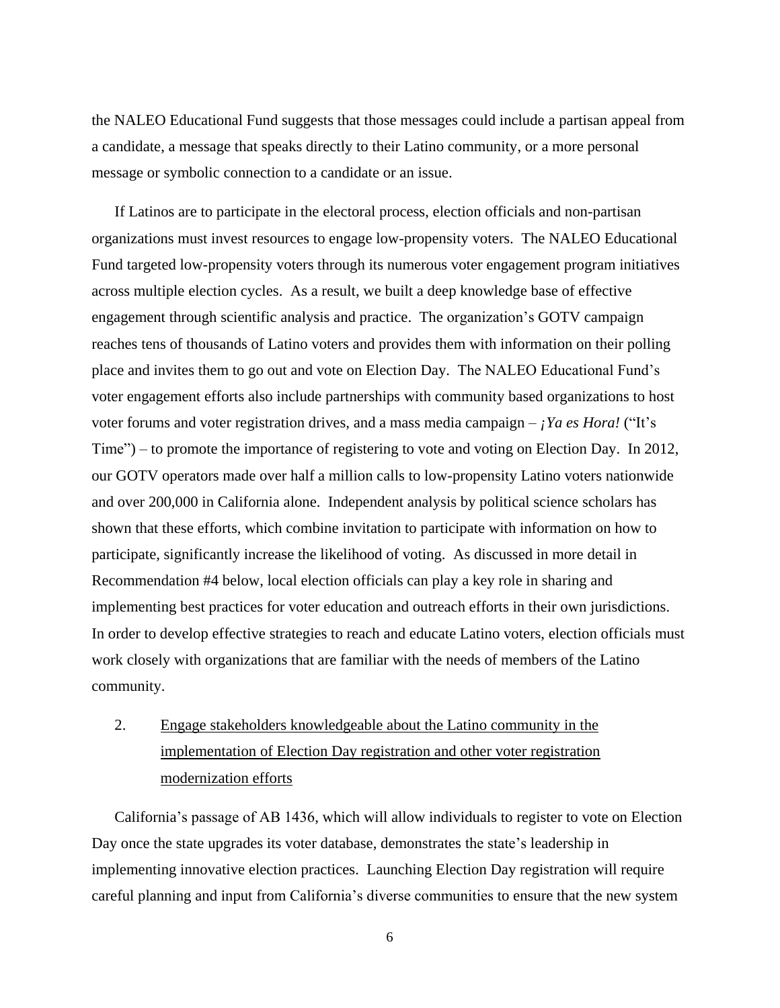the NALEO Educational Fund suggests that those messages could include a partisan appeal from a candidate, a message that speaks directly to their Latino community, or a more personal message or symbolic connection to a candidate or an issue.

If Latinos are to participate in the electoral process, election officials and non-partisan organizations must invest resources to engage low-propensity voters. The NALEO Educational Fund targeted low-propensity voters through its numerous voter engagement program initiatives across multiple election cycles. As a result, we built a deep knowledge base of effective engagement through scientific analysis and practice. The organization's GOTV campaign reaches tens of thousands of Latino voters and provides them with information on their polling place and invites them to go out and vote on Election Day. The NALEO Educational Fund's voter engagement efforts also include partnerships with community based organizations to host voter forums and voter registration drives, and a mass media campaign – *¡Ya es Hora!* ("It's Time") – to promote the importance of registering to vote and voting on Election Day. In 2012, our GOTV operators made over half a million calls to low-propensity Latino voters nationwide and over 200,000 in California alone. Independent analysis by political science scholars has shown that these efforts, which combine invitation to participate with information on how to participate, significantly increase the likelihood of voting. As discussed in more detail in Recommendation #4 below, local election officials can play a key role in sharing and implementing best practices for voter education and outreach efforts in their own jurisdictions. In order to develop effective strategies to reach and educate Latino voters, election officials must work closely with organizations that are familiar with the needs of members of the Latino community.

# 2. Engage stakeholders knowledgeable about the Latino community in the implementation of Election Day registration and other voter registration modernization efforts

California's passage of AB 1436, which will allow individuals to register to vote on Election Day once the state upgrades its voter database, demonstrates the state's leadership in implementing innovative election practices. Launching Election Day registration will require careful planning and input from California's diverse communities to ensure that the new system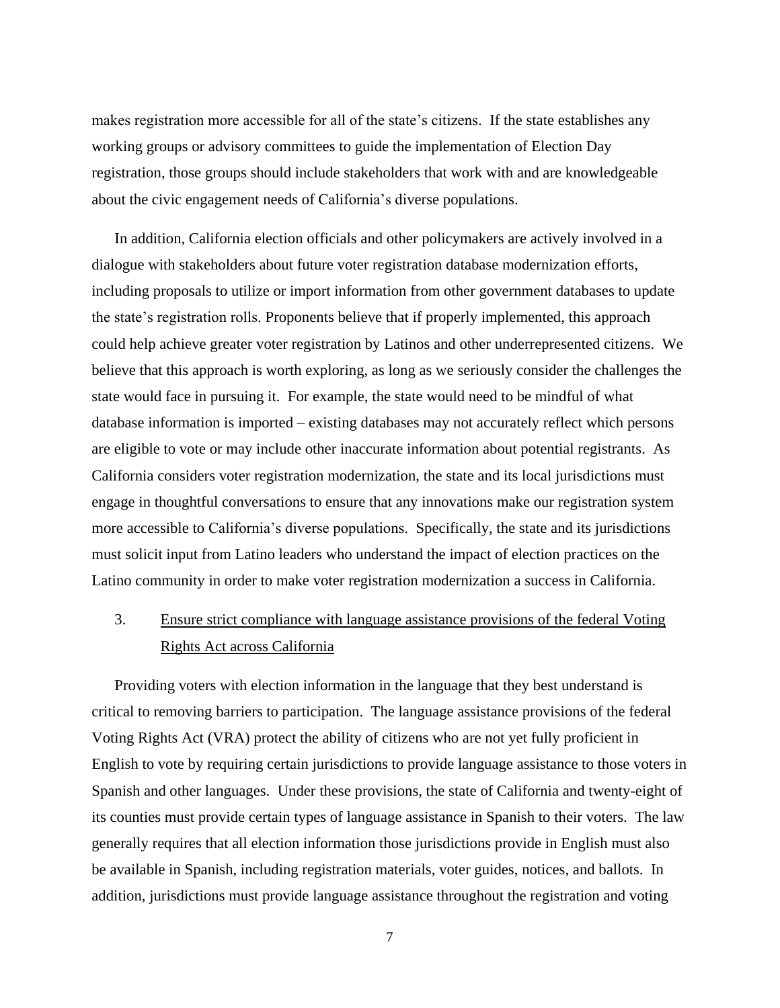makes registration more accessible for all of the state's citizens. If the state establishes any working groups or advisory committees to guide the implementation of Election Day registration, those groups should include stakeholders that work with and are knowledgeable about the civic engagement needs of California's diverse populations.

In addition, California election officials and other policymakers are actively involved in a dialogue with stakeholders about future voter registration database modernization efforts, including proposals to utilize or import information from other government databases to update the state's registration rolls. Proponents believe that if properly implemented, this approach could help achieve greater voter registration by Latinos and other underrepresented citizens. We believe that this approach is worth exploring, as long as we seriously consider the challenges the state would face in pursuing it. For example, the state would need to be mindful of what database information is imported – existing databases may not accurately reflect which persons are eligible to vote or may include other inaccurate information about potential registrants. As California considers voter registration modernization, the state and its local jurisdictions must engage in thoughtful conversations to ensure that any innovations make our registration system more accessible to California's diverse populations. Specifically, the state and its jurisdictions must solicit input from Latino leaders who understand the impact of election practices on the Latino community in order to make voter registration modernization a success in California.

## 3. Ensure strict compliance with language assistance provisions of the federal Voting Rights Act across California

Providing voters with election information in the language that they best understand is critical to removing barriers to participation. The language assistance provisions of the federal Voting Rights Act (VRA) protect the ability of citizens who are not yet fully proficient in English to vote by requiring certain jurisdictions to provide language assistance to those voters in Spanish and other languages. Under these provisions, the state of California and twenty-eight of its counties must provide certain types of language assistance in Spanish to their voters. The law generally requires that all election information those jurisdictions provide in English must also be available in Spanish, including registration materials, voter guides, notices, and ballots. In addition, jurisdictions must provide language assistance throughout the registration and voting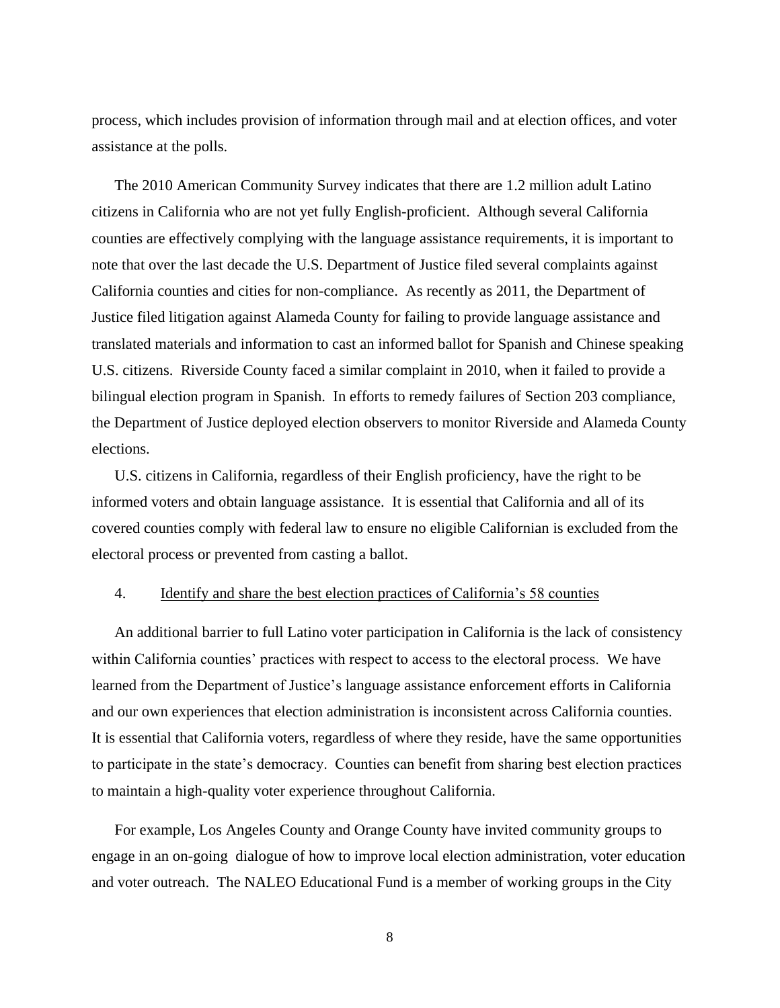process, which includes provision of information through mail and at election offices, and voter assistance at the polls.

The 2010 American Community Survey indicates that there are 1.2 million adult Latino citizens in California who are not yet fully English-proficient. Although several California counties are effectively complying with the language assistance requirements, it is important to note that over the last decade the U.S. Department of Justice filed several complaints against California counties and cities for non-compliance. As recently as 2011, the Department of Justice filed litigation against Alameda County for failing to provide language assistance and translated materials and information to cast an informed ballot for Spanish and Chinese speaking U.S. citizens. Riverside County faced a similar complaint in 2010, when it failed to provide a bilingual election program in Spanish. In efforts to remedy failures of Section 203 compliance, the Department of Justice deployed election observers to monitor Riverside and Alameda County elections.

U.S. citizens in California, regardless of their English proficiency, have the right to be informed voters and obtain language assistance. It is essential that California and all of its covered counties comply with federal law to ensure no eligible Californian is excluded from the electoral process or prevented from casting a ballot.

### 4. Identify and share the best election practices of California's 58 counties

An additional barrier to full Latino voter participation in California is the lack of consistency within California counties' practices with respect to access to the electoral process. We have learned from the Department of Justice's language assistance enforcement efforts in California and our own experiences that election administration is inconsistent across California counties. It is essential that California voters, regardless of where they reside, have the same opportunities to participate in the state's democracy. Counties can benefit from sharing best election practices to maintain a high-quality voter experience throughout California.

For example, Los Angeles County and Orange County have invited community groups to engage in an on-going dialogue of how to improve local election administration, voter education and voter outreach. The NALEO Educational Fund is a member of working groups in the City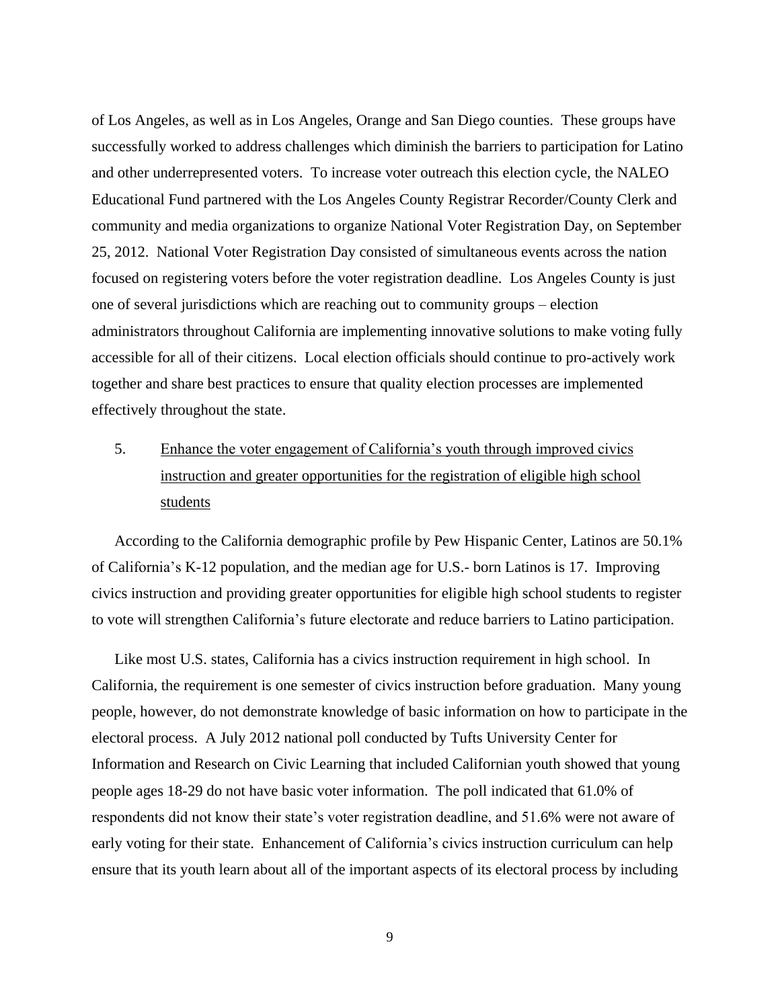of Los Angeles, as well as in Los Angeles, Orange and San Diego counties. These groups have successfully worked to address challenges which diminish the barriers to participation for Latino and other underrepresented voters. To increase voter outreach this election cycle, the NALEO Educational Fund partnered with the Los Angeles County Registrar Recorder/County Clerk and community and media organizations to organize National Voter Registration Day, on September 25, 2012. National Voter Registration Day consisted of simultaneous events across the nation focused on registering voters before the voter registration deadline. Los Angeles County is just one of several jurisdictions which are reaching out to community groups – election administrators throughout California are implementing innovative solutions to make voting fully accessible for all of their citizens. Local election officials should continue to pro-actively work together and share best practices to ensure that quality election processes are implemented effectively throughout the state.

# 5. Enhance the voter engagement of California's youth through improved civics instruction and greater opportunities for the registration of eligible high school students

According to the California demographic profile by Pew Hispanic Center, Latinos are 50.1% of California's K-12 population, and the median age for U.S.- born Latinos is 17. Improving civics instruction and providing greater opportunities for eligible high school students to register to vote will strengthen California's future electorate and reduce barriers to Latino participation.

Like most U.S. states, California has a civics instruction requirement in high school. In California, the requirement is one semester of civics instruction before graduation. Many young people, however, do not demonstrate knowledge of basic information on how to participate in the electoral process. A July 2012 national poll conducted by Tufts University Center for Information and Research on Civic Learning that included Californian youth showed that young people ages 18-29 do not have basic voter information. The poll indicated that 61.0% of respondents did not know their state's voter registration deadline, and 51.6% were not aware of early voting for their state. Enhancement of California's civics instruction curriculum can help ensure that its youth learn about all of the important aspects of its electoral process by including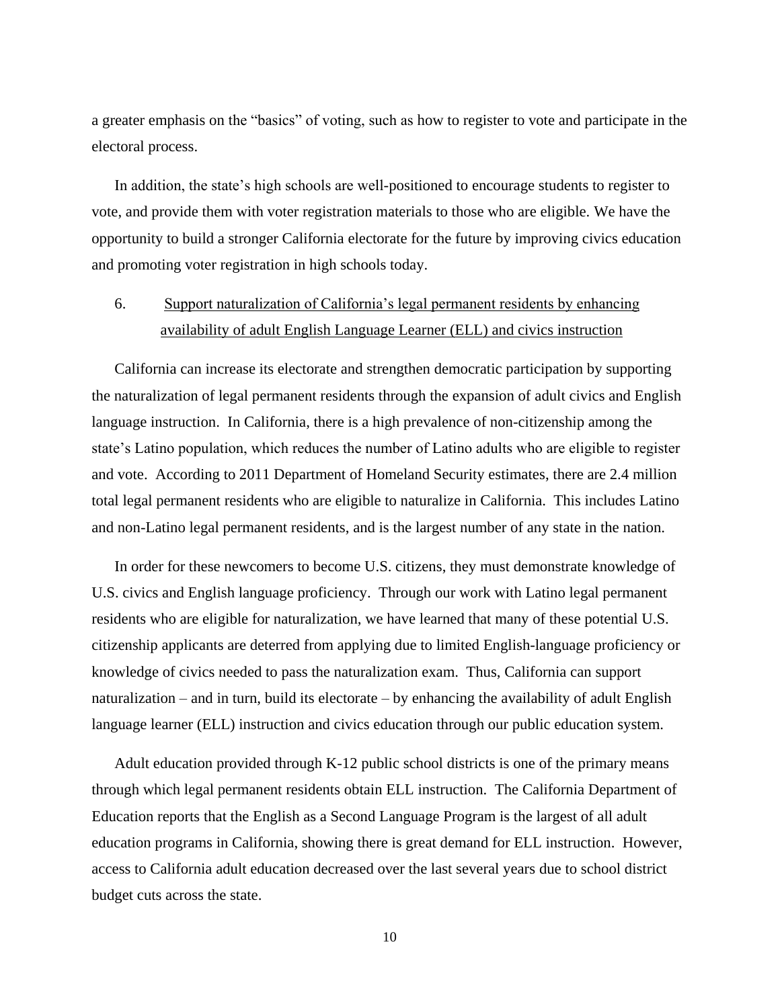a greater emphasis on the "basics" of voting, such as how to register to vote and participate in the electoral process.

In addition, the state's high schools are well-positioned to encourage students to register to vote, and provide them with voter registration materials to those who are eligible. We have the opportunity to build a stronger California electorate for the future by improving civics education and promoting voter registration in high schools today.

### 6. Support naturalization of California's legal permanent residents by enhancing availability of adult English Language Learner (ELL) and civics instruction

California can increase its electorate and strengthen democratic participation by supporting the naturalization of legal permanent residents through the expansion of adult civics and English language instruction. In California, there is a high prevalence of non-citizenship among the state's Latino population, which reduces the number of Latino adults who are eligible to register and vote. According to 2011 Department of Homeland Security estimates, there are 2.4 million total legal permanent residents who are eligible to naturalize in California. This includes Latino and non-Latino legal permanent residents, and is the largest number of any state in the nation.

In order for these newcomers to become U.S. citizens, they must demonstrate knowledge of U.S. civics and English language proficiency. Through our work with Latino legal permanent residents who are eligible for naturalization, we have learned that many of these potential U.S. citizenship applicants are deterred from applying due to limited English-language proficiency or knowledge of civics needed to pass the naturalization exam. Thus, California can support naturalization – and in turn, build its electorate – by enhancing the availability of adult English language learner (ELL) instruction and civics education through our public education system.

Adult education provided through K-12 public school districts is one of the primary means through which legal permanent residents obtain ELL instruction. The California Department of Education reports that the English as a Second Language Program is the largest of all adult education programs in California, showing there is great demand for ELL instruction. However, access to California adult education decreased over the last several years due to school district budget cuts across the state.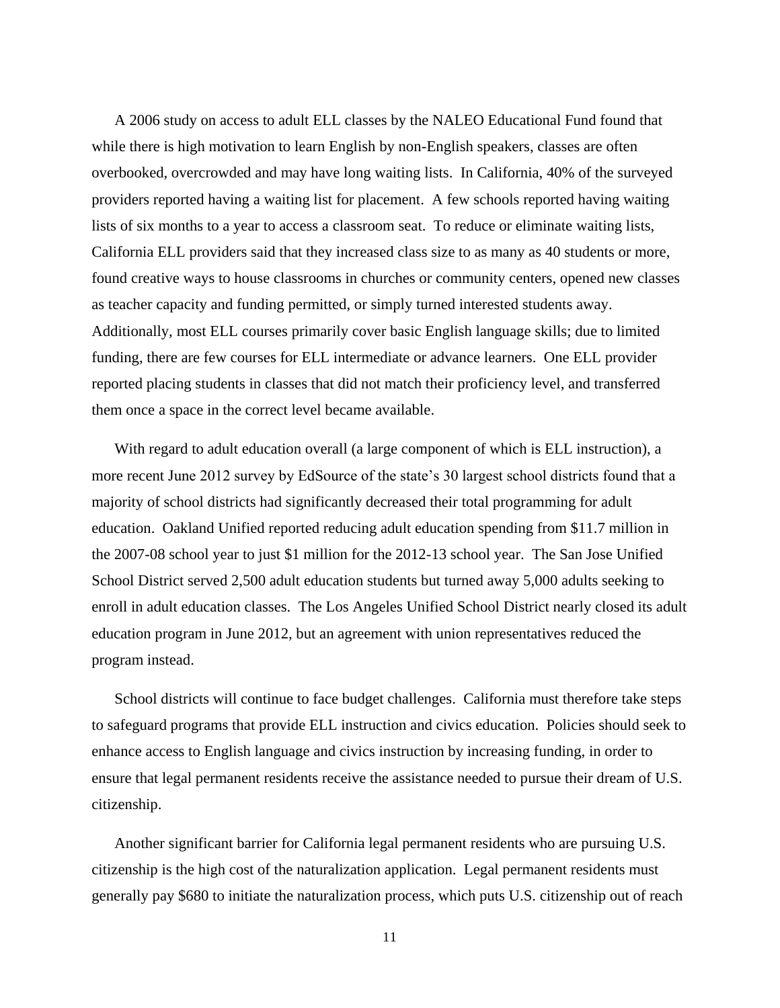A 2006 study on access to adult ELL classes by the NALEO Educational Fund found that while there is high motivation to learn English by non-English speakers, classes are often overbooked, overcrowded and may have long waiting lists. In California, 40% of the surveyed providers reported having a waiting list for placement. A few schools reported having waiting lists of six months to a year to access a classroom seat. To reduce or eliminate waiting lists, California ELL providers said that they increased class size to as many as 40 students or more, found creative ways to house classrooms in churches or community centers, opened new classes as teacher capacity and funding permitted, or simply turned interested students away. Additionally, most ELL courses primarily cover basic English language skills; due to limited funding, there are few courses for ELL intermediate or advance learners. One ELL provider reported placing students in classes that did not match their proficiency level, and transferred them once a space in the correct level became available.

With regard to adult education overall (a large component of which is ELL instruction), a more recent June 2012 survey by EdSource of the state's 30 largest school districts found that a majority of school districts had significantly decreased their total programming for adult education. Oakland Unified reported reducing adult education spending from \$11.7 million in the 2007-08 school year to just \$1 million for the 2012-13 school year. The San Jose Unified School District served 2,500 adult education students but turned away 5,000 adults seeking to enroll in adult education classes. The Los Angeles Unified School District nearly closed its adult education program in June 2012, but an agreement with union representatives reduced the program instead.

School districts will continue to face budget challenges. California must therefore take steps to safeguard programs that provide ELL instruction and civics education. Policies should seek to enhance access to English language and civics instruction by increasing funding, in order to ensure that legal permanent residents receive the assistance needed to pursue their dream of U.S. citizenship.

Another significant barrier for California legal permanent residents who are pursuing U.S. citizenship is the high cost of the naturalization application. Legal permanent residents must generally pay \$680 to initiate the naturalization process, which puts U.S. citizenship out of reach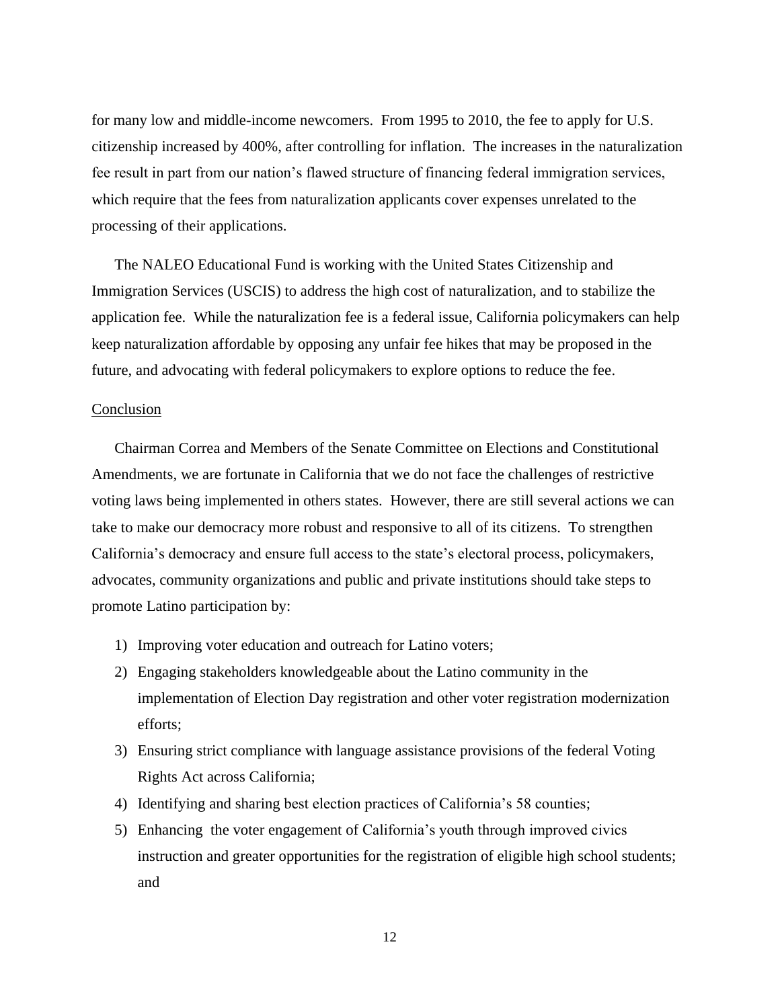for many low and middle-income newcomers. From 1995 to 2010, the fee to apply for U.S. citizenship increased by 400%, after controlling for inflation. The increases in the naturalization fee result in part from our nation's flawed structure of financing federal immigration services, which require that the fees from naturalization applicants cover expenses unrelated to the processing of their applications.

The NALEO Educational Fund is working with the United States Citizenship and Immigration Services (USCIS) to address the high cost of naturalization, and to stabilize the application fee. While the naturalization fee is a federal issue, California policymakers can help keep naturalization affordable by opposing any unfair fee hikes that may be proposed in the future, and advocating with federal policymakers to explore options to reduce the fee.

#### Conclusion

Chairman Correa and Members of the Senate Committee on Elections and Constitutional Amendments, we are fortunate in California that we do not face the challenges of restrictive voting laws being implemented in others states. However, there are still several actions we can take to make our democracy more robust and responsive to all of its citizens. To strengthen California's democracy and ensure full access to the state's electoral process, policymakers, advocates, community organizations and public and private institutions should take steps to promote Latino participation by:

- 1) Improving voter education and outreach for Latino voters;
- 2) Engaging stakeholders knowledgeable about the Latino community in the implementation of Election Day registration and other voter registration modernization efforts;
- 3) Ensuring strict compliance with language assistance provisions of the federal Voting Rights Act across California;
- 4) Identifying and sharing best election practices of California's 58 counties;
- 5) Enhancing the voter engagement of California's youth through improved civics instruction and greater opportunities for the registration of eligible high school students; and